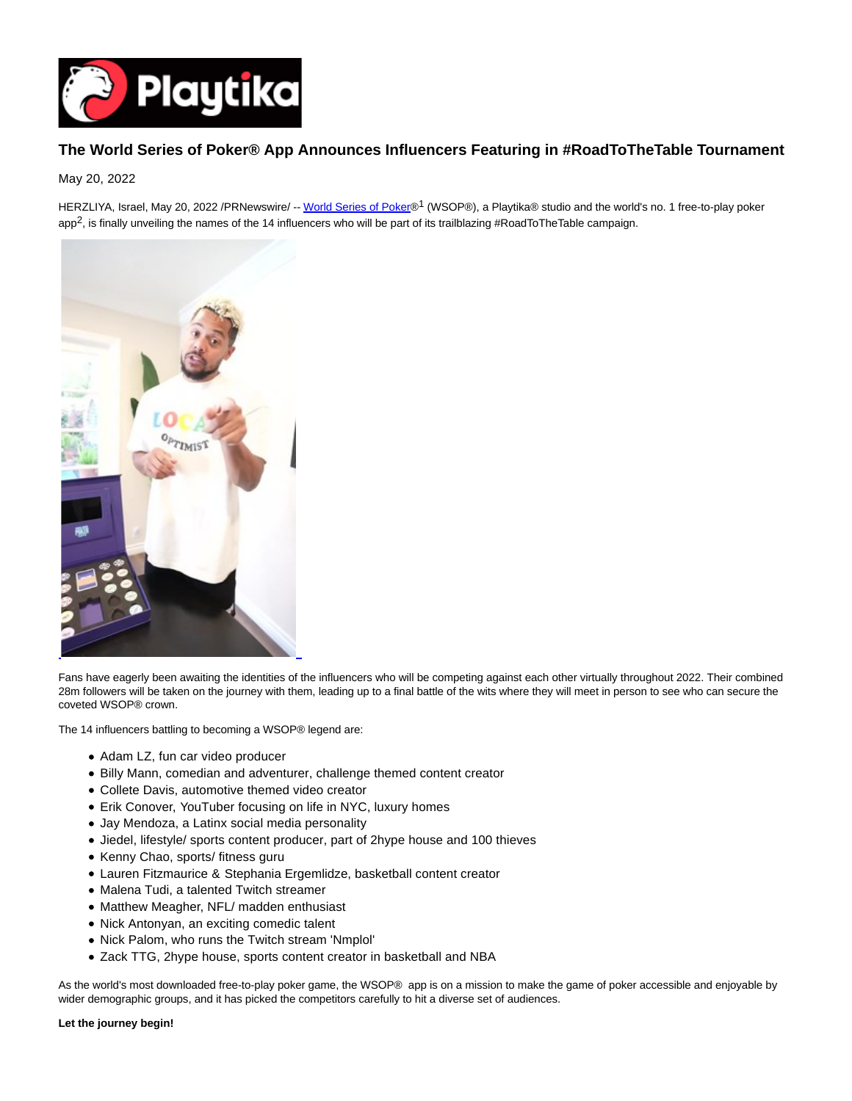

# **The World Series of Poker® App Announces Influencers Featuring in #RoadToTheTable Tournament**

May 20, 2022

HERZLIYA, Israel, May 20, 2022 /PRNewswire/ -[- World Series of Poker®](https://playwsop.com/)<sup>1</sup> (WSOP®), a Playtika® studio and the world's no. 1 free-to-play poker app<sup>2</sup>, is finally unveiling the names of the 14 influencers who will be part of its trailblazing #RoadToTheTable campaign.



Fans have eagerly been awaiting the identities of the influencers who will be competing against each other virtually throughout 2022. Their combined 28m followers will be taken on the journey with them, leading up to a final battle of the wits where they will meet in person to see who can secure the coveted WSOP® crown.

The 14 influencers battling to becoming a WSOP® legend are:

- Adam LZ, fun car video producer
- Billy Mann, comedian and adventurer, challenge themed content creator
- Collete Davis, automotive themed video creator
- Erik Conover, YouTuber focusing on life in NYC, luxury homes
- Jay Mendoza, a Latinx social media personality
- Jiedel, lifestyle/ sports content producer, part of 2hype house and 100 thieves
- Kenny Chao, sports/ fitness guru
- Lauren Fitzmaurice & Stephania Ergemlidze, basketball content creator
- Malena Tudi, a talented Twitch streamer
- Matthew Meagher, NFL/ madden enthusiast
- Nick Antonyan, an exciting comedic talent
- Nick Palom, who runs the Twitch stream 'Nmplol'
- Zack TTG, 2hype house, sports content creator in basketball and NBA

As the world's most downloaded free-to-play poker game, the WSOP® app is on a mission to make the game of poker accessible and enjoyable by wider demographic groups, and it has picked the competitors carefully to hit a diverse set of audiences.

#### **Let the journey begin!**